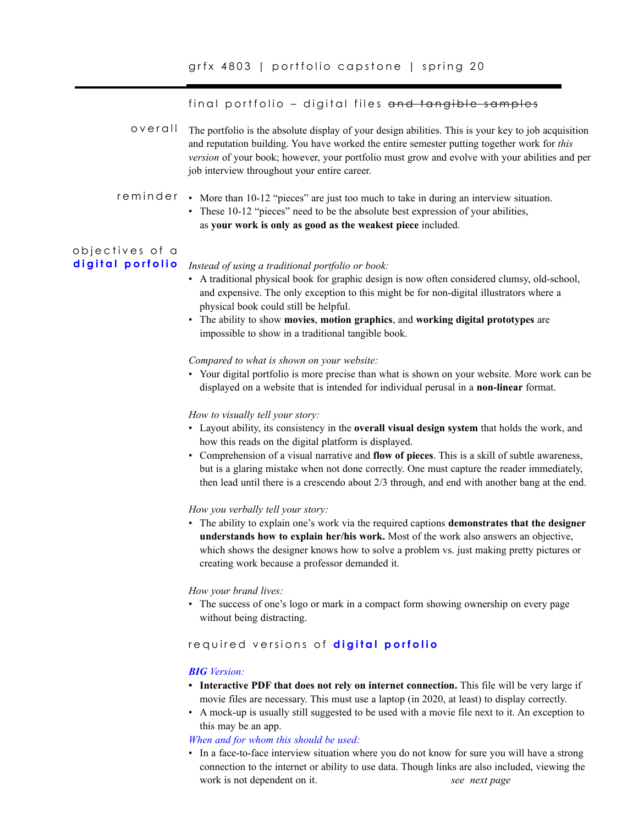final portfolio – digital files and tangible samples

The portfolio is the absolute display of your design abilities. This is your key to job acquisition and reputation building. You have worked the entire semester putting together work for *this version* of your book; however, your portfolio must grow and evolve with your abilities and per job interview throughout your entire career. overall

## reminder • More than 10-12 "pieces" are just too much to take in during an interview situation.

• These 10-12 "pieces" need to be the absolute best expression of your abilities, as **your work is only as good as the weakest piece** included.

### objectives of a **digital porfolio**

*Instead of using a traditional portfolio or book:*

- A traditional physical book for graphic design is now often considered clumsy, old-school, and expensive. The only exception to this might be for non-digital illustrators where a physical book could still be helpful.
- The ability to show **movies**, **motion graphics**, and **working digital prototypes** are impossible to show in a traditional tangible book.

*Compared to what is shown on your website:*

• Your digital portfolio is more precise than what is shown on your website. More work can be displayed on a website that is intended for individual perusal in a **non-linear** format.

*How to visually tell your story:*

- Layout ability, its consistency in the **overall visual design system** that holds the work, and how this reads on the digital platform is displayed.
- Comprehension of a visual narrative and **flow of pieces**. This is a skill of subtle awareness, but is a glaring mistake when not done correctly. One must capture the reader immediately, then lead until there is a crescendo about 2/3 through, and end with another bang at the end.

### *How you verbally tell your story:*

• The ability to explain one's work via the required captions **demonstrates that the designer understands how to explain her/his work.** Most of the work also answers an objective, which shows the designer knows how to solve a problem vs. just making pretty pictures or creating work because a professor demanded it.

#### *How your brand lives:*

• The success of one's logo or mark in a compact form showing ownership on every page without being distracting.

## required versions of **digital porfolio**

## *BIG Version:*

- Interactive PDF that does not rely on internet connection. This file will be very large if movie files are necessary. This must use a laptop (in 2020, at least) to display correctly.
- A mock-up is usually still suggested to be used with a movie file next to it. An exception to this may be an app.

*When and for whom this should be used:*

• In a face-to-face interview situation where you do not know for sure you will have a strong connection to the internet or ability to use data. Though links are also included, viewing the work is not dependent on it. *see next page*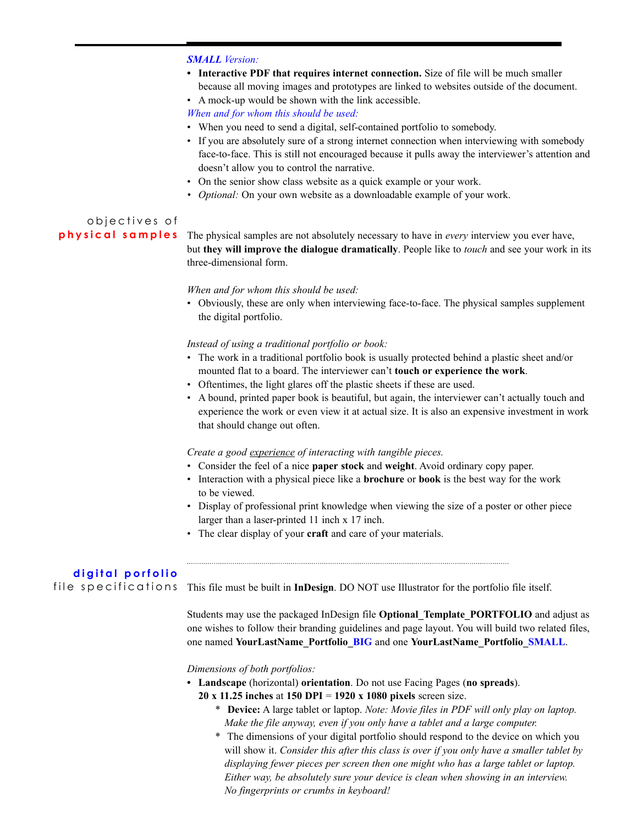#### *SMALL Version:*

**• Interactive PDF that requires internet connection.** Size of file will be much smaller because all moving images and prototypes are linked to websites outside of the document.

• A mock-up would be shown with the link accessible.

*When and for whom this should be used:*

- When you need to send a digital, self-contained portfolio to somebody.
- If you are absolutely sure of a strong internet connection when interviewing with somebody face-to-face. This is still not encouraged because it pulls away the interviewer's attention and doesn't allow you to control the narrative.
- On the senior show class website as a quick example or your work.
- *• Optional:* On your own website as a downloadable example of your work.

## objectives of **physical samples**

The physical samples are not absolutely necessary to have in *every* interview you ever have, but **they will improve the dialogue dramatically**. People like to *touch* and see your work in its three-dimensional form.

#### *When and for whom this should be used:*

• Obviously, these are only when interviewing face-to-face. The physical samples supplement the digital portfolio.

#### *Instead of using a traditional portfolio or book:*

- The work in a traditional portfolio book is usually protected behind a plastic sheet and/or mounted flat to a board. The interviewer can't **touch or experience the work**.
- Oftentimes, the light glares off the plastic sheets if these are used.
- A bound, printed paper book is beautiful, but again, the interviewer can't actually touch and experience the work or even view it at actual size. It is also an expensive investment in work that should change out often.

#### *Create a good experience of interacting with tangible pieces.*

- Consider the feel of a nice **paper stock** and **weight**. Avoid ordinary copy paper.
- Interaction with a physical piece like a **brochure** or **book** is the best way for the work to be viewed.
- Display of professional print knowledge when viewing the size of a poster or other piece larger than a laser-printed 11 inch x 17 inch.
- The clear display of your **craft** and care of your materials.

## **d i g i t a l p o r f o l i o**

file specifications

This file must be built in **InDesign**. DO NOT use Illustrator for the portfolio file itself.

Students may use the packaged InDesign file **Optional\_Template\_PORTFOLIO** and adjust as one wishes to follow their branding guidelines and page layout. You will build two related files, one named **YourLastName\_Portfolio\_BIG** and one **YourLastName\_Portfolio\_SMALL**.

*Dimensions of both portfolios:*

- **• Landscape** (horizontal) **orientation**. Do not use Facing Pages (**no spreads**).
	- **20 x 11.25 inches** at **150 DPI** = **1920 x 1080 pixels** screen size.
		- \* **Device:** A large tablet or laptop. *Note: Movie files in PDF will only play on laptop. Make the file anyway, even if you only have a tablet and a large computer.*
		- \* The dimensions of your digital portfolio should respond to the device on which you will show it. *Consider this after this class is over if you only have a smaller tablet by displaying fewer pieces per screen then one might who has a large tablet or laptop. Either way, be absolutely sure your device is clean when showing in an interview. No fingerprints or crumbs in keyboard!*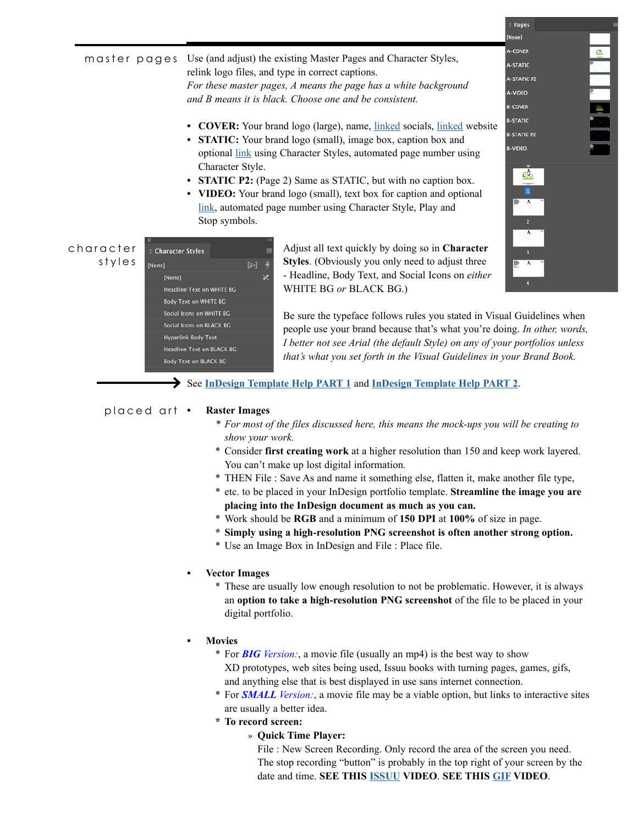m aster pages Use (and adjust) the existing Master Pages and Character Styles, relink logo files, and type in correct captions. *For these master pages, A means the page has a white background and B means it is black. Choose one and be consistent.*

- **• COVER:** Your brand logo (large), name, linked socials, linked website
- **• STATIC:** Your brand logo (small), image box, caption box and optional link using Character Styles, automated page number using Character Style.
- **• STATIC P2:** (Page 2) Same as STATIC, but with no caption box.
- **• VIDEO:** Your brand logo (small), text box for caption and optional link, automated page number using Character Style, Play and Stop symbols.

|   | <b>A-STATIC</b>                                    |  |
|---|----------------------------------------------------|--|
|   | <b>A-STATIC P2</b>                                 |  |
|   | A-VIDEO                                            |  |
|   | <b>B-COVER</b>                                     |  |
| e | <b>B-STATIC</b>                                    |  |
|   | <b>B-STATIC P2</b>                                 |  |
|   | <b>B-VIDEO</b>                                     |  |
|   |                                                    |  |
|   | ī                                                  |  |
|   | $\overline{\mathsf{A}}$<br>$\overline{\mathbf{z}}$ |  |
|   | A                                                  |  |
|   | B                                                  |  |
|   | $\overline{\mathbf{A}}$                            |  |
|   |                                                    |  |

None<sup>1</sup>

|           | ×                                |        |  |
|-----------|----------------------------------|--------|--|
| character | Character Styles                 |        |  |
| styles    | [None]                           | $[a+]$ |  |
|           | [None]                           |        |  |
|           | Headline Text on WHITE BG        |        |  |
|           | <b>Body Text on WHITE BG</b>     |        |  |
|           | Social Icons on WHITE BG         |        |  |
|           | Social Icons on BLACK BG         |        |  |
|           | <b>Hyperlink Body Text</b>       |        |  |
|           | <b>Headline Text on BLACK BG</b> |        |  |
|           | <b>Body Text on BLACK BG</b>     |        |  |

Adjust all text quickly by doing so in **Character Styles**. (Obviously you only need to adjust three - Headline, Body Text, and Social Icons on *either* WHITE BG *or* BLACK BG.)

Be sure the typeface follows rules you stated in Visual Guidelines when people use your brand because that's what you're doing. *In other, words, I better not see Arial (the default Style) on any of your portfolios unless that's what you set forth in the Visual Guidelines in your Brand Book.* 

# See **[InDesign Template Help PART 1](https://www.youtube.com/watch?v=4TUb6Ao-Beo&list=PLCjxoaxiMUhYstLEN19rY8LeEG0B78R4g&index=5&t=0s)** and **[InDesign Template Help PART 2](https://www.youtube.com/watch?v=zRku_sGgK9w)**.

#### **• Raster Images** placed art

- *\* For most of the files discussed here, this means the mock-ups you will be creating to show your work.*
- \* Consider **first creating work** at a higher resolution than 150 and keep work layered. You can't make up lost digital information.
- \* THEN File : Save As and name it something else, flatten it, make another file type,
- \* etc. to be placed in your InDesign portfolio template. **Streamline the image you are placing into the InDesign document as much as you can.**
- \* Work should be **RGB** and a minimum of **150 DPI** at **100%** of size in page.
- **\* Simply using a high-resolution PNG screenshot is often another strong option.**
- \* Use an Image Box in InDesign and File : Place file.
- **• Vector Images**
	- \* These are usually low enough resolution to not be problematic. However, it is always an **option to take a high-resolution PNG screenshot** of the file to be placed in your digital portfolio.
- **• Movies**
	- \* For *BIG Version:*, a movie file (usually an mp4) is the best way to show XD prototypes, web sites being used, Issuu books with turning pages, games, gifs, and anything else that is best displayed in use sans internet connection.
	- \* For *SMALL Version:*, a movie file may be a viable option, but links to interactive sites are usually a better idea.
	- **\* To record screen:** 
		- » **Quick Time Player:**
			- File : New Screen Recording. Only record the area of the screen you need. The stop recording "button" is probably in the top right of your screen by the date and time. **SEE THIS [ISSUU](https://www.youtube.com/watch?v=Odn_rT3lSrQ) VIDEO**. **SEE THIS [GIF](https://www.youtube.com/watch?v=7Jc5SVEK5Pg&feature=youtu.be) VIDEO**.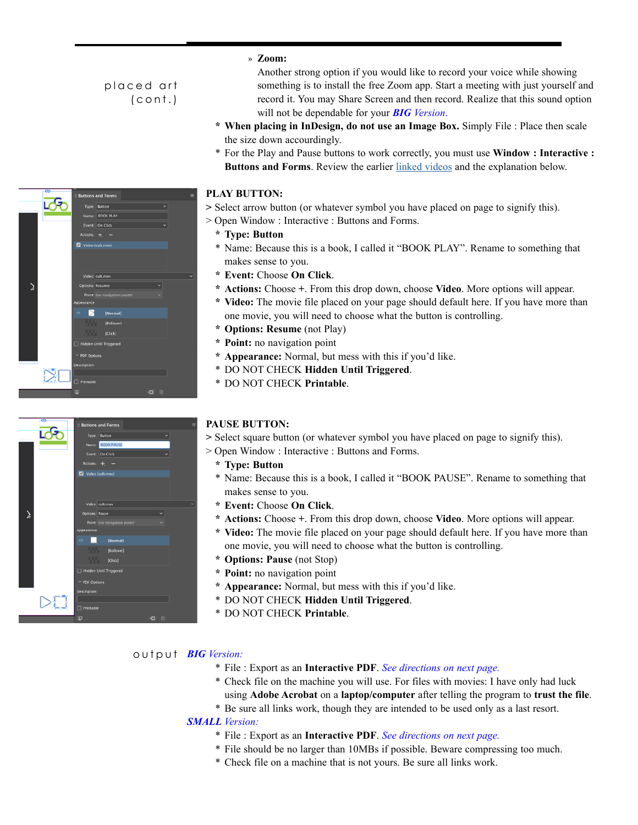# placed art (cont.)





## » **Zoom:**

Another strong option if you would like to record your voice while showing something is to install the free Zoom app. Start a meeting with just yourself and record it. You may Share Screen and then record. Realize that this sound option will not be dependable for your *BIG Version*.

- **\* When placing in InDesign, do not use an Image Box.** Simply File : Place then scale the size down accourdingly.
- \* For the Play and Pause buttons to work correctly, you must use **Window : Interactive : Buttons and Forms**. Review the earlier [linked videos](https://www.youtube.com/watch?v=4TUb6Ao-Beo&list=PLCjxoaxiMUhYstLEN19rY8LeEG0B78R4g&index=5&t=0s) and the explanation below.

## **• PLAY BUTTON:**

**>** Select arrow button (or whatever symbol you have placed on page to signify this).

- > Open Window : Interactive : Buttons and Forms.
	- **\* Type: Button**
	- \* Name: Because this is a book, I called it "BOOK PLAY". Rename to something that makes sense to you.
	- **\* Event:** Choose **On Click**.
	- **\* Actions:** Choose **+**. From this drop down, choose **Video**. More options will appear.
	- **\* Video:** The movie file placed on your page should default here. If you have more than one movie, you will need to choose what the button is controlling.
	- **\* Options: Resume** (not Play)
	- **\* Point:** no navigation point
	- **\* Appearance:** Normal, but mess with this if you'd like.
	- \* DO NOT CHECK **Hidden Until Triggered**.
	- \* DO NOT CHECK **Printable**.

## **• PAUSE BUTTON:**

**>** Select square button (or whatever symbol you have placed on page to signify this).

- > Open Window : Interactive : Buttons and Forms.
	- **\* Type: Button**
	- \* Name: Because this is a book, I called it "BOOK PAUSE". Rename to something that makes sense to you.
	- **\* Event:** Choose **On Click**.
	- **\* Actions:** Choose **+**. From this drop down, choose **Video**. More options will appear.
	- **\* Video:** The movie file placed on your page should default here. If you have more than one movie, you will need to choose what the button is controlling.
	- **\* Options: Pause** (not Stop)
	- **\* Point:** no navigation point
	- **\* Appearance:** Normal, but mess with this if you'd like.
	- \* DO NOT CHECK **Hidden Until Triggered**.
	- \* DO NOT CHECK **Printable**.

## *BIG Version:* output

- \* File : Export as an **Interactive PDF**. *See directions on next page.*
- \* Check file on the machine you will use. For files with movies: I have only had luck using **Adobe Acrobat** on a **laptop/computer** after telling the program to **trust the file**.
- \* Be sure all links work, though they are intended to be used only as a last resort.

## *SMALL Version:*

- \* File : Export as an **Interactive PDF**. *See directions on next page.*
- \* File should be no larger than 10MBs if possible. Beware compressing too much.
- \* Check file on a machine that is not yours. Be sure all links work.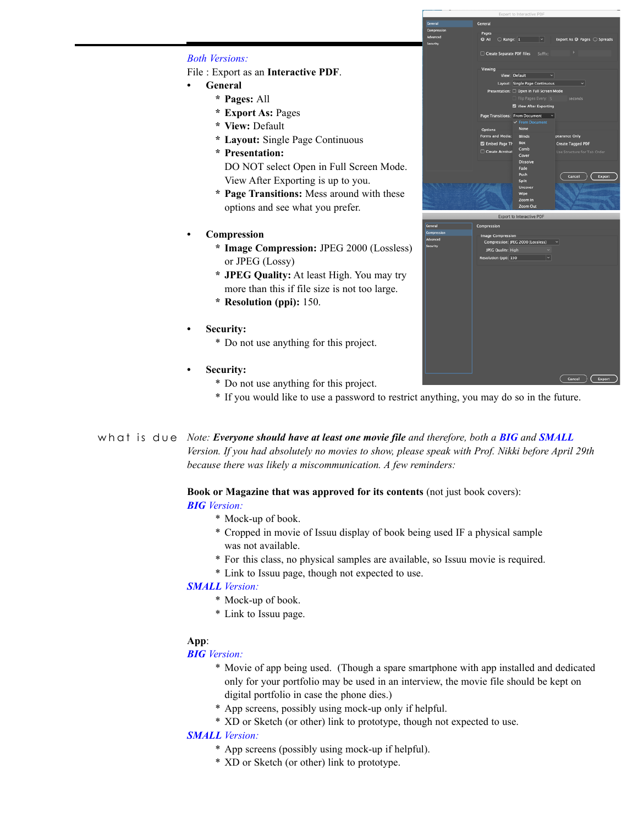## *Both Versions:*

File : Export as an **Interactive PDF**.

- **• General**
	- **\* Pages:** All
	- **\* Export As:** Pages
	- **\* View:** Default
	- **\* Layout:** Single Page Continuous
	- **\* Presentation:**
	- DO NOT select Open in Full Screen Mode. View After Exporting is up to you.
	- **\* Page Transitions:** Mess around with these options and see what you prefer.
- **• Compression**
	- **\* Image Compression:** JPEG 2000 (Lossless) or JPEG (Lossy)
	- **\* JPEG Quality:** At least High. You may try more than this if file size is not too large.
	- **\* Resolution (ppi):** 150.
- **• Security:** 
	- \* Do not use anything for this project.
- **• Security:** 
	- \* Do not use anything for this project.
	- \* If you would like to use a password to restrict anything, you may do so in the future.

*Note: Everyone should have at least one movie file and therefore, both a BIG and SMALL*  what is due*Version. If you had absolutely no movies to show, please speak with Prof. Nikki before April 29th because there was likely a miscommunication. A few reminders:*

**Book or Magazine that was approved for its contents** (not just book covers):

## *BIG Version:*

- \* Mock-up of book.
- \* Cropped in movie of Issuu display of book being used IF a physical sample was not available.
- \* For this class, no physical samples are available, so Issuu movie is required.
- \* Link to Issuu page, though not expected to use.

#### *SMALL Version:*

- \* Mock-up of book.
- \* Link to Issuu page.

## **App**:

#### *BIG Version:*

- \* Movie of app being used. (Though a spare smartphone with app installed and dedicated only for your portfolio may be used in an interview, the movie file should be kept on digital portfolio in case the phone dies.)
- \* App screens, possibly using mock-up only if helpful.
- \* XD or Sketch (or other) link to prototype, though not expected to use.

## *SMALL Version:*

- \* App screens (possibly using mock-up if helpful).
- \* XD or Sketch (or other) link to prototype.



| General     | Compression                            |
|-------------|----------------------------------------|
| Compression | <b>Image Compression</b>               |
| Advanced    | Compression: JPEG 2000 (Lossless)<br>⊻ |
| Security    | JPEG Quality: High<br>v.               |
|             |                                        |
|             | v<br>Resolution (ppi): 150             |
|             |                                        |
|             |                                        |
|             |                                        |
|             |                                        |
|             |                                        |
|             |                                        |
|             |                                        |
|             |                                        |
|             |                                        |
|             |                                        |
|             |                                        |
|             |                                        |
|             |                                        |
|             |                                        |
|             |                                        |
|             | Cancel<br><b>Export</b>                |
|             |                                        |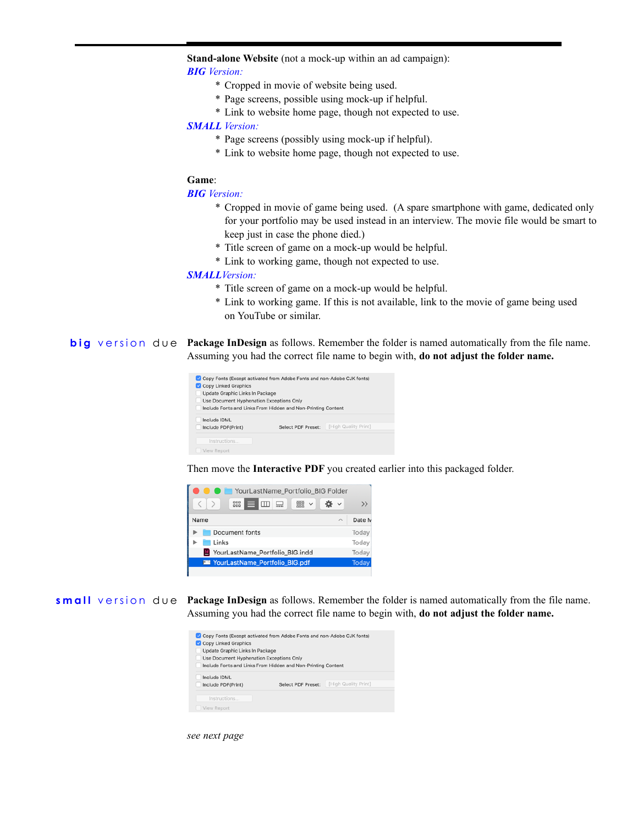**Stand-alone Website** (not a mock-up within an ad campaign):

## *BIG Version:*

- \* Cropped in movie of website being used.
- \* Page screens, possible using mock-up if helpful.
- \* Link to website home page, though not expected to use.

## *SMALL Version:*

- \* Page screens (possibly using mock-up if helpful).
- \* Link to website home page, though not expected to use.

#### **Game**:

#### *BIG Version:*

- \* Cropped in movie of game being used. (A spare smartphone with game, dedicated only for your portfolio may be used instead in an interview. The movie file would be smart to keep just in case the phone died.)
- \* Title screen of game on a mock-up would be helpful.
- \* Link to working game, though not expected to use.

## *SMALLVersion:*

- \* Title screen of game on a mock-up would be helpful.
- \* Link to working game. If this is not available, link to the movie of game being used on YouTube or similar.

**big** version  $d \cup e$  **Package InDesign** as follows. Remember the folder is named automatically from the file name. Assuming you had the correct file name to begin with, **do not adjust the folder name.**

| Copy Fonts (Except activated from Adobe Fonts and non-Adobe CJK fonts)<br>Copy Linked Graphics<br>Update Graphic Links In Package<br>Use Document Hyphenation Exceptions Only | Include Fonts and Links From Hidden and Non-Printing Content |                      |
|-------------------------------------------------------------------------------------------------------------------------------------------------------------------------------|--------------------------------------------------------------|----------------------|
| Include IDML<br>Include PDF(Print)                                                                                                                                            | <b>Select PDF Preset:</b>                                    | [High Quality Print] |
| Instructions<br>View Report                                                                                                                                                   |                                                              |                      |

Then move the **Interactive PDF** you created earlier into this packaged folder.



**small** version due **Package InDesign** as follows. Remember the folder is named automatically from the file name. Assuming you had the correct file name to begin with, **do not adjust the folder name.**

| Copy Fonts (Except activated from Adobe Fonts and non-Adobe CJK fonts)<br>Copy Linked Graphics<br>Update Graphic Links In Package<br>Use Document Hyphenation Exceptions Only | Include Fonts and Links From Hidden and Non-Printing Content |                      |
|-------------------------------------------------------------------------------------------------------------------------------------------------------------------------------|--------------------------------------------------------------|----------------------|
| Include IDML<br>Include PDF(Print)                                                                                                                                            | Select PDF Preset:                                           | [High Quality Print] |
| Instructions<br>View Report                                                                                                                                                   |                                                              |                      |

*see next page*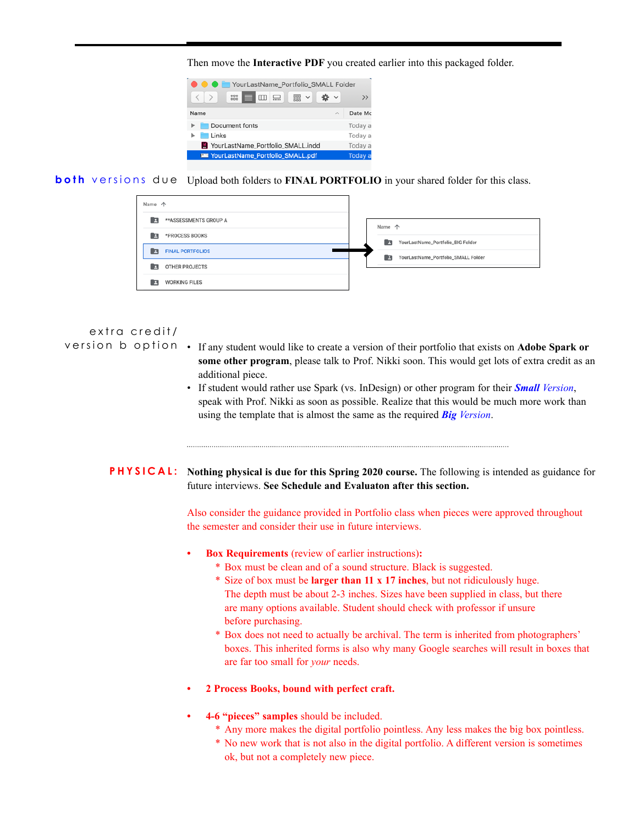Then move the **Interactive PDF** you created earlier into this packaged folder.



**both** versions due Upload both folders to FINAL PORTFOLIO in your shared folder for this class.

| Name 个                       |                                          |
|------------------------------|------------------------------------------|
| **ASSESSMENTS GROUP A<br>я   | Name 个                                   |
| *PROCESS BOOKS<br>А          | YourLastName_Portfolio_BIG Folder<br>E   |
| <b>FINAL PORTFOLIOS</b><br>E | YourLastName_Portfolio_SMALL Folder<br>n |
| OTHER PROJECTS<br>R          |                                          |
| <b>WORKING FILES</b><br>л    |                                          |

## extra credit/

- version b option If any student would like to create a version of their portfolio that exists on **Adobe Spark or some other program**, please talk to Prof. Nikki soon. This would get lots of extra credit as an additional piece.
	- If student would rather use Spark (vs. InDesign) or other program for their *Small Version*, speak with Prof. Nikki as soon as possible. Realize that this would be much more work than using the template that is almost the same as the required *Big Version*.

**PHYSICAL:** Nothing physical is due for this Spring 2020 course. The following is intended as guidance for future interviews. **See Schedule and Evaluaton after this section.** 

> Also consider the guidance provided in Portfolio class when pieces were approved throughout the semester and consider their use in future interviews.

- **• Box Requirements** (review of earlier instructions)**:**
	- \* Box must be clean and of a sound structure. Black is suggested.
	- \* Size of box must be **larger than 11 x 17 inches**, but not ridiculously huge. The depth must be about 2-3 inches. Sizes have been supplied in class, but there are many options available. Student should check with professor if unsure before purchasing.
	- \* Box does not need to actually be archival. The term is inherited from photographers' boxes. This inherited forms is also why many Google searches will result in boxes that are far too small for *your* needs.
- **• 2 Process Books, bound with perfect craft.**
- **• 4-6 "pieces" samples** should be included.
	- \* Any more makes the digital portfolio pointless. Any less makes the big box pointless.
	- \* No new work that is not also in the digital portfolio. A different version is sometimes ok, but not a completely new piece.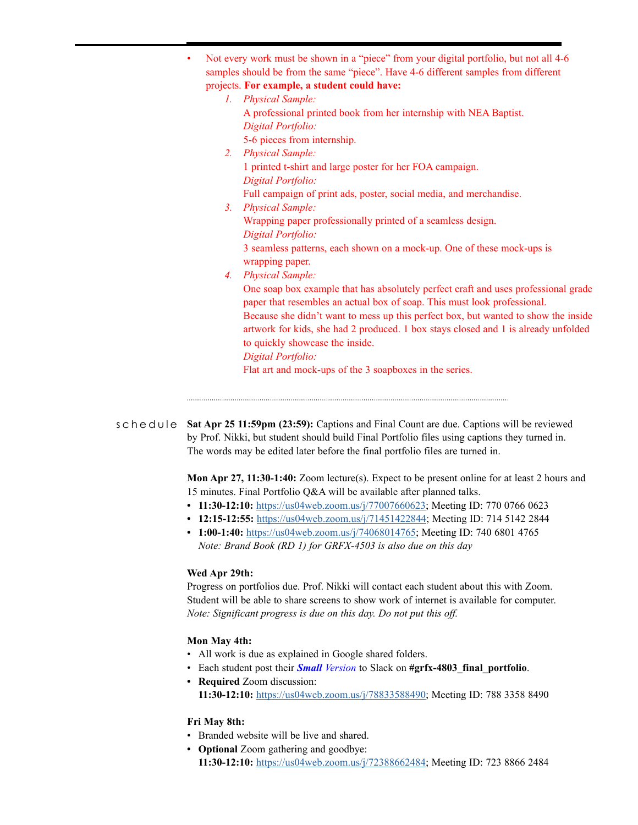| samples should be from the same "piece". Have 4-6 different samples from different                                                                             |
|----------------------------------------------------------------------------------------------------------------------------------------------------------------|
| projects. For example, a student could have:                                                                                                                   |
| 1. Physical Sample:                                                                                                                                            |
| A professional printed book from her internship with NEA Baptist.                                                                                              |
| Digital Portfolio:                                                                                                                                             |
| 5-6 pieces from internship.                                                                                                                                    |
| 2. Physical Sample:                                                                                                                                            |
| 1 printed t-shirt and large poster for her FOA campaign.                                                                                                       |
| Digital Portfolio:                                                                                                                                             |
| Full campaign of print ads, poster, social media, and merchandise.                                                                                             |
| <b>Physical Sample:</b><br>3 <sub>1</sub>                                                                                                                      |
| Wrapping paper professionally printed of a seamless design.                                                                                                    |
| Digital Portfolio:                                                                                                                                             |
| 3 seamless patterns, each shown on a mock-up. One of these mock-ups is                                                                                         |
| wrapping paper.                                                                                                                                                |
| <b>Physical Sample:</b><br>4.                                                                                                                                  |
| One soap box example that has absolutely perfect craft and uses professional grade<br>paper that resembles an actual box of soap. This must look professional. |
| Because she didn't want to mess up this perfect box, but wanted to show the inside                                                                             |
| artwork for kids, she had 2 produced. 1 box stays closed and 1 is already unfolded                                                                             |
| to quickly showcase the inside.                                                                                                                                |
| Digital Portfolio:                                                                                                                                             |
| Flat art and mock-ups of the 3 soapboxes in the series.                                                                                                        |

schedule Sat Apr 25 11:59pm (23:59): Captions and Final Count are due. Captions will be reviewed by Prof. Nikki, but student should build Final Portfolio files using captions they turned in. The words may be edited later before the final portfolio files are turned in.

> **Mon Apr 27, 11:30-1:40:** Zoom lecture(s). Expect to be present online for at least 2 hours and 15 minutes. Final Portfolio Q&A will be available after planned talks.

- **• 11:30-12:10:** [https://us04web.zoom.us/j/77007660623;](https://us04web.zoom.us/j/77007660623) Meeting ID: 770 0766 0623
- **• 12:15-12:55:** <https://us04web.zoom.us/j/71451422844>; Meeting ID: 714 5142 2844
- **• 1:00-1:40:** <https://us04web.zoom.us/j/74068014765>; Meeting ID: 740 6801 4765 *Note: Brand Book (RD 1) for GRFX-4503 is also due on this day*

#### **Wed Apr 29th:**

Progress on portfolios due. Prof. Nikki will contact each student about this with Zoom. Student will be able to share screens to show work of internet is available for computer. *Note: Significant progress is due on this day. Do not put this off.* 

## **Mon May 4th:**

- All work is due as explained in Google shared folders.
- Each student post their **Small** Version to Slack on #grfx-4803 final portfolio.
- **• Required** Zoom discussion: **11:30-12:10:** [https://us04web.zoom.us/j/78833588490;](https://us04web.zoom.us/j/78833588490) Meeting ID: 788 3358 8490

## **Fri May 8th:**

- Branded website will be live and shared.
- **• Optional** Zoom gathering and goodbye: **11:30-12:10:** [https://us04web.zoom.us/j/72388662484;](https://us04web.zoom.us/j/72388662484) Meeting ID: 723 8866 2484